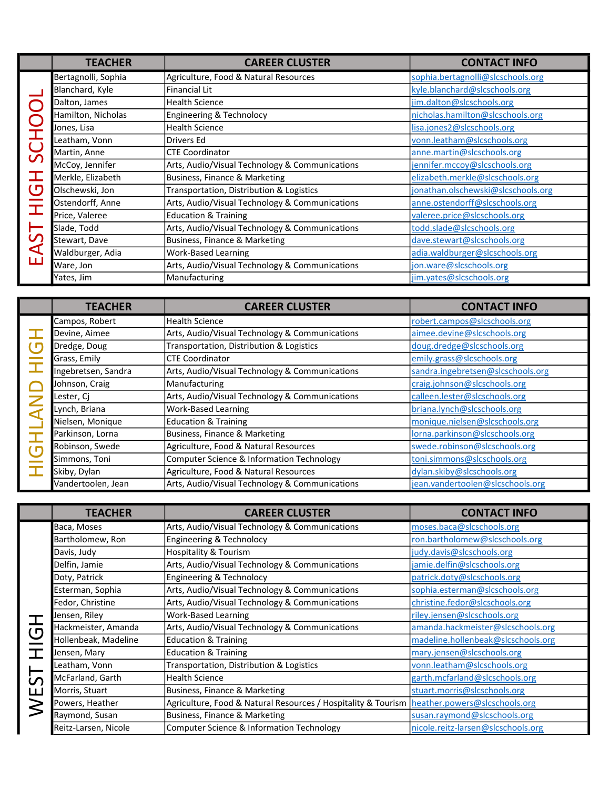|                        | <b>TEACHER</b>      | <b>CAREER CLUSTER</b>                          | <b>CONTACT INFO</b>                |
|------------------------|---------------------|------------------------------------------------|------------------------------------|
|                        | Bertagnolli, Sophia | Agriculture, Food & Natural Resources          | sophia.bertagnolli@slcschools.org  |
|                        | Blanchard, Kyle     | Financial Lit                                  | kyle.blanchard@slcschools.org      |
|                        | Dalton, James       | <b>Health Science</b>                          | jim.dalton@slcschools.org          |
|                        | Hamilton, Nicholas  | Engineering & Technolocy                       | nicholas.hamilton@slcschools.org   |
|                        | Jones, Lisa         | <b>Health Science</b>                          | lisa.jones2@slcschools.org         |
| SCHOO<br>$\square$     | Leatham, Vonn       | Drivers Ed                                     | vonn.leatham@slcschools.org        |
|                        | Martin, Anne        | <b>CTE Coordinator</b>                         | anne.martin@slcschools.org         |
|                        | McCoy, Jennifer     | Arts, Audio/Visual Technology & Communications | jennifer.mccoy@slcschools.org      |
|                        | Merkle, Elizabeth   | Business, Finance & Marketing                  | elizabeth.merkle@slcschools.org    |
| $\mathbf{\mathcal{O}}$ | Olschewski, Jon     | Transportation, Distribution & Logistics       | jonathan.olschewski@slcschools.org |
| $\bar{x}$              | Ostendorff, Anne    | Arts, Audio/Visual Technology & Communications | anne.ostendorff@slcschools.org     |
|                        | Price, Valeree      | <b>Education &amp; Training</b>                | valeree.price@slcschools.org       |
| EAST                   | Slade, Todd         | Arts, Audio/Visual Technology & Communications | todd.slade@slcschools.org          |
|                        | Stewart, Dave       | Business, Finance & Marketing                  | dave.stewart@slcschools.org        |
|                        | Waldburger, Adia    | <b>Work-Based Learning</b>                     | adia.waldburger@slcschools.org     |
|                        | Ware, Jon           | Arts, Audio/Visual Technology & Communications | jon.ware@slcschools.org            |
|                        | Yates, Jim          | Manufacturing                                  | jim.yates@slcschools.org           |

|                                       | <b>TEACHER</b>      | <b>CAREER CLUSTER</b>                          | <b>CONTACT INFO</b>               |
|---------------------------------------|---------------------|------------------------------------------------|-----------------------------------|
| U                                     | Campos, Robert      | <b>Health Science</b>                          | robert.campos@slcschools.org      |
|                                       | Devine, Aimee       | Arts, Audio/Visual Technology & Communications | aimee.devine@slcschools.org       |
|                                       | Dredge, Doug        | Transportation, Distribution & Logistics       | doug.dredge@slcschools.org        |
|                                       | Grass, Emily        | <b>CTE Coordinator</b>                         | emily.grass@slcschools.org        |
| $\overline{\mathbf{L}}$<br><b>NAL</b> | Ingebretsen, Sandra | Arts, Audio/Visual Technology & Communications | sandra.ingebretsen@slcschools.org |
|                                       | Johnson, Craig      | Manufacturing                                  | craig.johnson@slcschools.org      |
|                                       | Lester, Ci          | Arts, Audio/Visual Technology & Communications | calleen.lester@slcschools.org     |
|                                       | Lynch, Briana       | <b>Work-Based Learning</b>                     | briana.lynch@slcschools.org       |
|                                       | Nielsen, Monique    | <b>Education &amp; Training</b>                | monique.nielsen@slcschools.org    |
| $\mathbf I$                           | Parkinson, Lorna    | Business, Finance & Marketing                  | lorna.parkinson@slcschools.org    |
| $\bigcup$                             | Robinson, Swede     | Agriculture, Food & Natural Resources          | swede.robinson@slcschools.org     |
|                                       | Simmons, Toni       | Computer Science & Information Technology      | toni.simmons@slcschools.org       |
|                                       | Skiby, Dylan        | Agriculture, Food & Natural Resources          | dylan.skiby@slcschools.org        |
|                                       | Vandertoolen, Jean  | Arts, Audio/Visual Technology & Communications | jean.vandertoolen@slcschools.org  |

|                                     | Bianchard, Kyle              | Financial Lit                                                 | <u>kyle.blanchard@sicschools.org</u>  |
|-------------------------------------|------------------------------|---------------------------------------------------------------|---------------------------------------|
| SCHOOI<br>工                         | Dalton, James                | <b>Health Science</b>                                         | jim.dalton@slcschools.org             |
|                                     | Hamilton, Nicholas           | Engineering & Technolocy                                      | nicholas.hamilton@slcschools.org      |
|                                     | Jones, Lisa                  | <b>Health Science</b>                                         | lisa.jones2@slcschools.org            |
|                                     | Leatham, Vonn                | <b>Drivers Ed</b>                                             | vonn.leatham@slcschools.org           |
|                                     | Martin, Anne                 | <b>CTE Coordinator</b>                                        | anne.martin@slcschools.org            |
|                                     | McCoy, Jennifer              | Arts, Audio/Visual Technology & Communications                | jennifer.mccoy@slcschools.org         |
|                                     | Merkle, Elizabeth            | Business, Finance & Marketing                                 | elizabeth.merkle@slcschools.org       |
|                                     | Olschewski, Jon              | Transportation, Distribution & Logistics                      | jonathan.olschewski@slcschools.org    |
| $\frac{\overline{G}}{\overline{H}}$ | Ostendorff, Anne             | Arts, Audio/Visual Technology & Communications                | anne.ostendorff@slcschools.org        |
|                                     | Price, Valeree               | <b>Education &amp; Training</b>                               | valeree.price@slcschools.org          |
|                                     | Slade, Todd                  | Arts, Audio/Visual Technology & Communications                | todd.slade@slcschools.org             |
|                                     | Stewart, Dave                | Business, Finance & Marketing                                 | dave.stewart@slcschools.org           |
| EAST                                | Waldburger, Adia             | <b>Work-Based Learning</b>                                    | adia.waldburger@slcschools.org        |
|                                     | Ware, Jon                    | Arts, Audio/Visual Technology & Communications                | jon.ware@slcschools.org               |
|                                     | Yates, Jim                   | Manufacturing                                                 | jim.yates@slcschools.org              |
|                                     |                              |                                                               |                                       |
|                                     | <b>TEACHER</b>               | <b>CAREER CLUSTER</b>                                         | <b>CONTACT INFO</b>                   |
|                                     |                              | <b>Health Science</b>                                         |                                       |
|                                     | Campos, Robert               |                                                               | robert.campos@slcschools.org          |
|                                     | Devine, Aimee                | Arts, Audio/Visual Technology & Communications                | aimee.devine@slcschools.org           |
| $\bigcup$                           | Dredge, Doug<br>Grass, Emily | Transportation, Distribution & Logistics                      | doug.dredge@slcschools.org            |
| $\bar{\mathbf{I}}$                  |                              | <b>CTE Coordinator</b>                                        | emily.grass@slcschools.org            |
|                                     | Ingebretsen, Sandra          | Arts, Audio/Visual Technology & Communications                | sandra.ingebretsen@slcschools.org     |
|                                     | Johnson, Craig               | Manufacturing                                                 | craig.johnson@slcschools.org          |
| <b>GHLAND</b>                       | Lester, Cj                   | Arts, Audio/Visual Technology & Communications                | calleen.lester@slcschools.org         |
|                                     | Lynch, Briana                | <b>Work-Based Learning</b>                                    | briana.lynch@slcschools.org           |
|                                     | Nielsen, Monique             | <b>Education &amp; Training</b>                               | monique.nielsen@slcschools.org        |
|                                     | Parkinson, Lorna             | Business, Finance & Marketing                                 | lorna.parkinson@slcschools.org        |
|                                     | Robinson, Swede              | Agriculture, Food & Natural Resources                         | swede.robinson@slcschools.org         |
|                                     | Simmons, Toni                | Computer Science & Information Technology                     | toni.simmons@slcschools.org           |
| $\bot$                              | Skiby, Dylan                 | Agriculture, Food & Natural Resources                         | dylan.skiby@slcschools.org            |
|                                     | Vandertoolen, Jean           | Arts, Audio/Visual Technology & Communications                | jean.vandertoolen@slcschools.org      |
|                                     |                              |                                                               |                                       |
|                                     | <b>TEACHER</b>               | <b>CAREER CLUSTER</b>                                         | <b>CONTACT INFO</b>                   |
|                                     | Baca, Moses                  | Arts, Audio/Visual Technology & Communications                | moses.baca@slcschools.org             |
|                                     | Bartholomew, Ron             | Engineering & Technolocy                                      | <u>ron.bartholomew@slcschools.org</u> |
|                                     | Davis, Judy                  | <b>Hospitality &amp; Tourism</b>                              | judy.davis@slcschools.org             |
|                                     | Delfin, Jamie                | Arts, Audio/Visual Technology & Communications                | jamie.delfin@slcschools.org           |
|                                     | Doty, Patrick                | Engineering & Technolocy                                      | patrick.doty@slcschools.org           |
|                                     | Esterman, Sophia             | Arts, Audio/Visual Technology & Communications                | sophia.esterman@slcschools.org        |
|                                     | Fedor, Christine             | Arts, Audio/Visual Technology & Communications                | christine.fedor@slcschools.org        |
|                                     | Jensen, Riley                | <b>Work-Based Learning</b>                                    | riley.jensen@slcschools.org           |
|                                     | Hackmeister, Amanda          | Arts, Audio/Visual Technology & Communications                | amanda.hackmeister@slcschools.org     |
| HICH<br><b>WEST</b>                 | Hollenbeak, Madeline         | <b>Education &amp; Training</b>                               | madeline.hollenbeak@slcschools.org    |
|                                     | Jensen, Mary                 | <b>Education &amp; Training</b>                               | mary.jensen@slcschools.org            |
|                                     | Leatham, Vonn                | Transportation, Distribution & Logistics                      | vonn.leatham@slcschools.org           |
|                                     | McFarland, Garth             | <b>Health Science</b>                                         | garth.mcfarland@slcschools.org        |
|                                     | Morris, Stuart               | Business, Finance & Marketing                                 | stuart.morris@slcschools.org          |
|                                     | Powers, Heather              | Agriculture, Food & Natural Resources / Hospitality & Tourism | heather.powers@slcschools.org         |
|                                     | Raymond, Susan               | Business, Finance & Marketing                                 | susan.raymond@slcschools.org          |
|                                     | Reitz-Larsen, Nicole         | Computer Science & Information Technology                     | nicole.reitz-larsen@slcschools.org    |